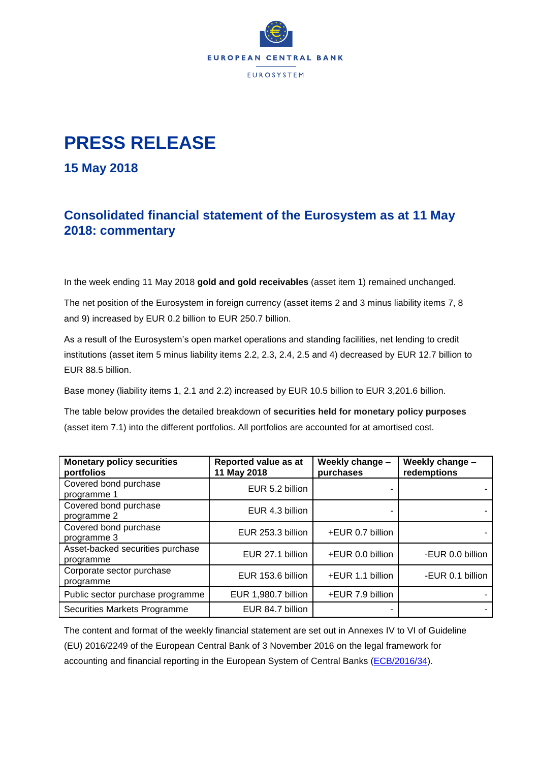

## **PRESS RELEASE**

**15 May 2018**

## **Consolidated financial statement of the Eurosystem as at 11 May 2018: commentary**

In the week ending 11 May 2018 **gold and gold receivables** (asset item 1) remained unchanged.

The net position of the Eurosystem in foreign currency (asset items 2 and 3 minus liability items 7, 8 and 9) increased by EUR 0.2 billion to EUR 250.7 billion.

As a result of the Eurosystem's open market operations and standing facilities, net lending to credit institutions (asset item 5 minus liability items 2.2, 2.3, 2.4, 2.5 and 4) decreased by EUR 12.7 billion to EUR 88.5 billion.

Base money (liability items 1, 2.1 and 2.2) increased by EUR 10.5 billion to EUR 3,201.6 billion.

The table below provides the detailed breakdown of **securities held for monetary policy purposes** (asset item 7.1) into the different portfolios. All portfolios are accounted for at amortised cost.

| <b>Monetary policy securities</b><br>portfolios | Reported value as at<br>11 May 2018 | Weekly change -<br>purchases | Weekly change -<br>redemptions |
|-------------------------------------------------|-------------------------------------|------------------------------|--------------------------------|
| Covered bond purchase<br>programme 1            | EUR 5.2 billion                     |                              |                                |
| Covered bond purchase<br>programme 2            | EUR 4.3 billion                     |                              |                                |
| Covered bond purchase<br>programme 3            | EUR 253.3 billion                   | +EUR 0.7 billion             |                                |
| Asset-backed securities purchase<br>programme   | EUR 27.1 billion                    | +EUR 0.0 billion             | -EUR 0.0 billion               |
| Corporate sector purchase<br>programme          | EUR 153.6 billion                   | +EUR 1.1 billion             | -EUR 0.1 billion               |
| Public sector purchase programme                | EUR 1,980.7 billion                 | +EUR 7.9 billion             |                                |
| Securities Markets Programme                    | EUR 84.7 billion                    |                              |                                |

The content and format of the weekly financial statement are set out in Annexes IV to VI of Guideline (EU) 2016/2249 of the European Central Bank of 3 November 2016 on the legal framework for accounting and financial reporting in the European System of Central Banks [\(ECB/2016/34\)](http://www.ecb.europa.eu/ecb/legal/1001/1012/html/index.en.html).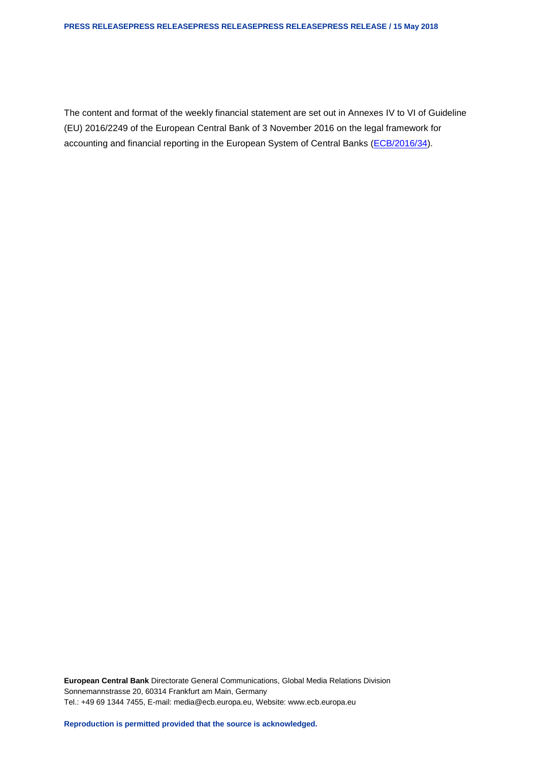## **PRESS RELEASEPRESS RELEASEPRESS RELEASEPRESS RELEASEPRESS RELEASE / 15 May 2018**

The content and format of the weekly financial statement are set out in Annexes IV to VI of Guideline (EU) 2016/2249 of the European Central Bank of 3 November 2016 on the legal framework for accounting and financial reporting in the European System of Central Banks [\(ECB/2016/34\)](http://www.ecb.europa.eu/ecb/legal/1001/1012/html/index.en.html).

**European Central Bank** Directorate General Communications, Global Media Relations Division Sonnemannstrasse 20, 60314 Frankfurt am Main, Germany Tel.: +49 69 1344 7455, E-mail: media@ecb.europa.eu, Website: www.ecb.europa.eu